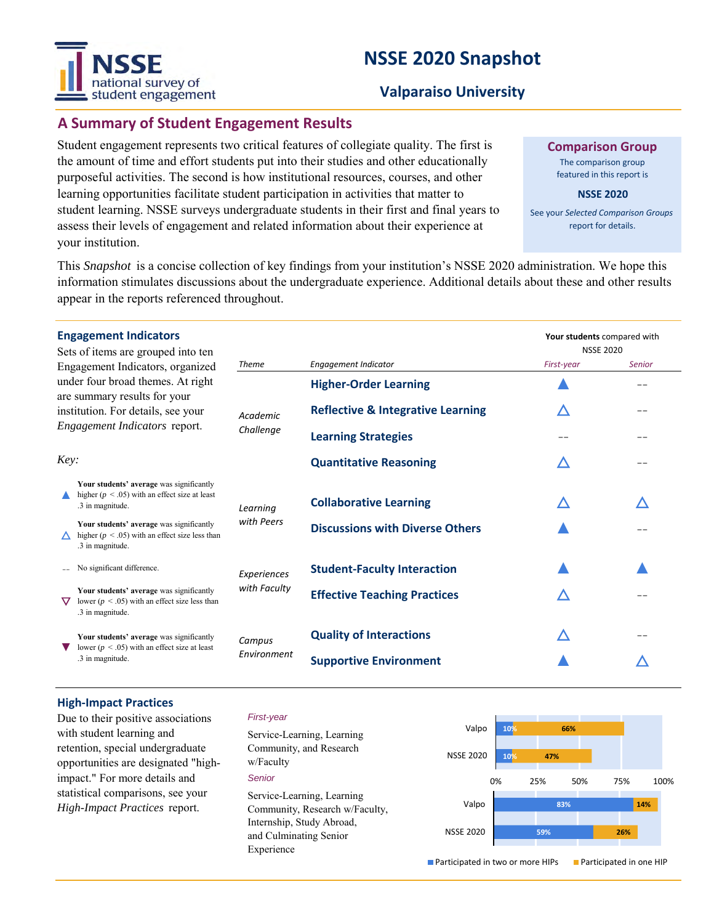# national survey of student engagement

# **NSSE 2020 Snapshot**

# **Valparaiso University**

# **A Summary of Student Engagement Results**

Student engagement represents two critical features of collegiate quality. The first is the amount of time and effort students put into their studies and other educationally purposeful activities. The second is how institutional resources, courses, and other learning opportunities facilitate student participation in activities that matter to student learning. NSSE surveys undergraduate students in their first and final years to assess their levels of engagement and related information about their experience at your institution.

**Comparison Group**

The comparison group featured in this report is

**NSSE 2020**

See your *Selected Comparison Groups*  report for details.

**Your students** compared with

NSSE 2020 *First-year Senior*

This *Snapshot* is a concise collection of key findings from your institution's NSSE 2020 administration. We hope this information stimulates discussions about the undergraduate experience. Additional details about these and other results appear in the reports referenced throughout.

*Theme Engagement Indicator*

| <b>Engagement Indicators</b> |  |
|------------------------------|--|
|------------------------------|--|

| Sets of items are grouped into ten |
|------------------------------------|
| Engagement Indicators, organized   |
| under four broad themes. At right  |
| are summary results for your       |
| institution. For details, see your |
| Engagement Indicators report.      |

|                                                                                                                                          | Engagement muicators, organizeu                                                                                    |                             |                                              | $. 1.001$ $.001$ |    |  |
|------------------------------------------------------------------------------------------------------------------------------------------|--------------------------------------------------------------------------------------------------------------------|-----------------------------|----------------------------------------------|------------------|----|--|
| under four broad themes. At right<br>are summary results for your<br>institution. For details, see your<br>Engagement Indicators report. |                                                                                                                    | Academic<br>Challenge       | <b>Higher-Order Learning</b>                 |                  | -- |  |
|                                                                                                                                          |                                                                                                                    |                             | <b>Reflective &amp; Integrative Learning</b> | ╱                | -- |  |
|                                                                                                                                          |                                                                                                                    |                             | <b>Learning Strategies</b>                   |                  | -- |  |
| Key:                                                                                                                                     |                                                                                                                    |                             | <b>Quantitative Reasoning</b>                | ╱                |    |  |
|                                                                                                                                          | Your students' average was significantly<br>higher ( $p < .05$ ) with an effect size at least<br>.3 in magnitude.  | Learning<br>with Peers      | <b>Collaborative Learning</b>                | Δ                |    |  |
|                                                                                                                                          | Your students' average was significantly<br>higher ( $p < .05$ ) with an effect size less than<br>.3 in magnitude. |                             | <b>Discussions with Diverse Others</b>       |                  |    |  |
|                                                                                                                                          | No significant difference.                                                                                         | Experiences<br>with Faculty | <b>Student-Faculty Interaction</b>           |                  |    |  |
|                                                                                                                                          | Your students' average was significantly<br>lower ( $p < .05$ ) with an effect size less than<br>.3 in magnitude.  |                             | <b>Effective Teaching Practices</b>          |                  |    |  |
|                                                                                                                                          | Your students' average was significantly<br>lower ( $p < .05$ ) with an effect size at least<br>.3 in magnitude.   | Campus<br>Environment       | <b>Quality of Interactions</b>               | ∠                |    |  |
|                                                                                                                                          |                                                                                                                    |                             | <b>Supportive Environment</b>                |                  |    |  |

### **High-Impact Practices**

Due to their positive associations with student learning and retention, special undergraduate opportunities are designated "highimpact." For more details and statistical comparisons, see your *High-Impact Practices* report.

#### *First-year*

*Senior* Service-Learning, Learning Community, and Research w/Faculty Service-Learning, Learning Community, Research w/Faculty, Internship, Study Abroad, and Culminating Senior Experience



■ Participated in two or more HIPs ■ Participated in one HIP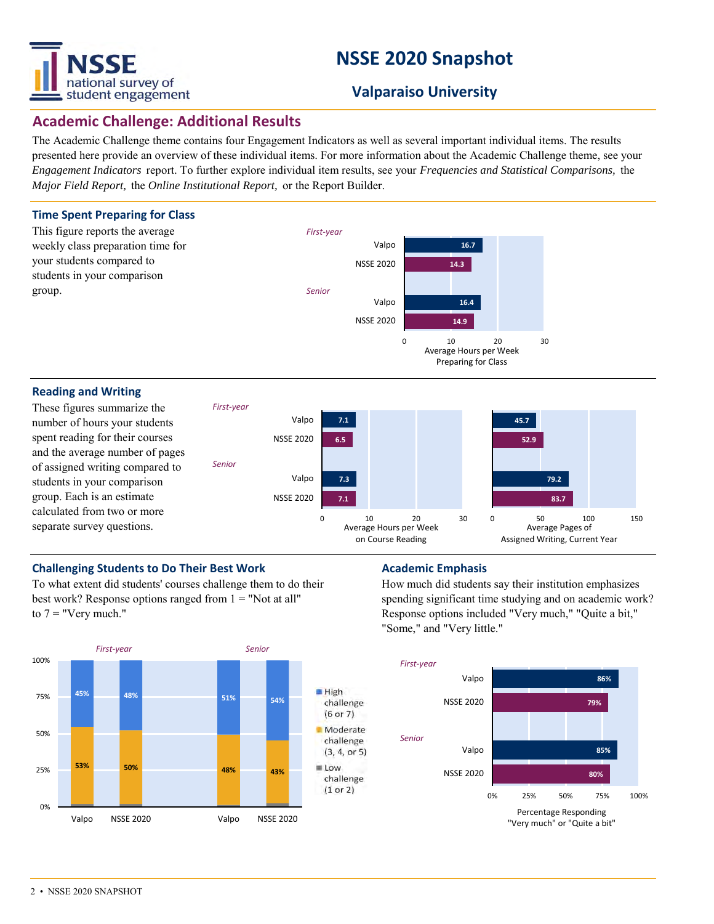

# **NSSE 2020 Snapshot**

# **Valparaiso University**

# **Academic Challenge: Additional Results**

The Academic Challenge theme contains four Engagement Indicators as well as several important individual items. The results presented here provide an overview of these individual items. For more information about the Academic Challenge theme, see your *Engagement Indicators* report. To further explore individual item results, see your *Frequencies and Statistical Comparisons,* the *Major Field Report,* the *Online Institutional Report,* or the Report Builder.



### **Challenging Students to Do Their Best Work <b>Academic Emphasis Academic Emphasis**

To what extent did students' courses challenge them to do their best work? Response options ranged from  $1 =$  "Not at all" to  $7 =$  "Very much."



How much did students say their institution emphasizes spending significant time studying and on academic work? Response options included "Very much," "Quite a bit," "Some," and "Very little."

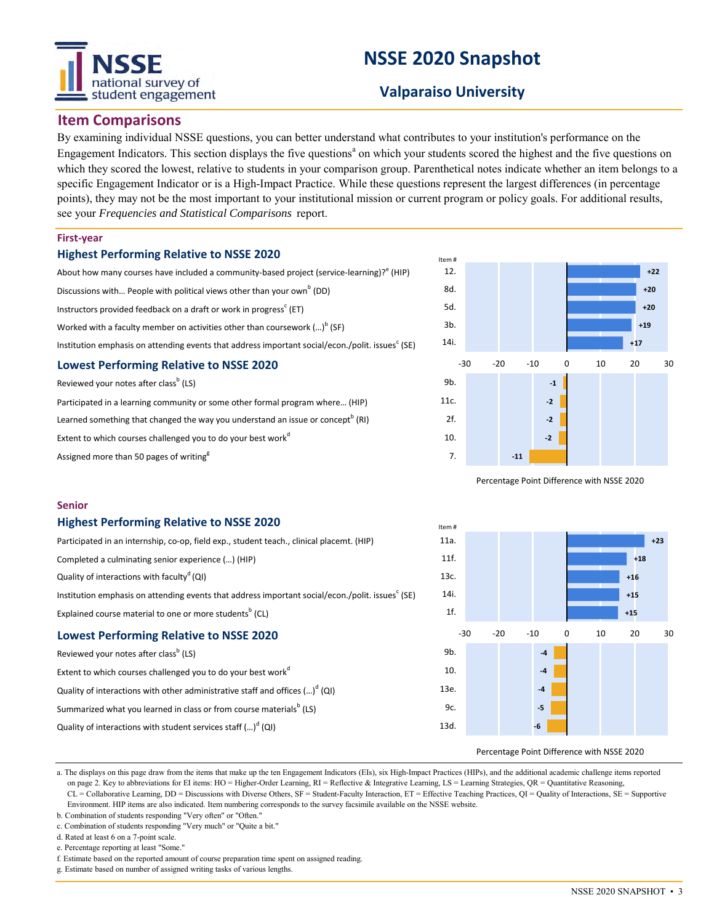# tional survey of student engagement

# **NSSE 2020 Snapshot**

# **Valparaiso University**

## **Item Comparisons**

By examining individual NSSE questions, you can better understand what contributes to your institution's performance on the Engagement Indicators. This section displays the five questions<sup>a</sup> on which your students scored the highest and the five questions on which they scored the lowest, relative to students in your comparison group. Parenthetical notes indicate whether an item belongs to a specific Engagement Indicator or is a High-Impact Practice. While these questions represent the largest differences (in percentage points), they may not be the most important to your institutional mission or current program or policy goals. For additional results, see your *Frequencies and Statistical Comparisons* report.

#### **First-year**

### **Highest Performing Relative to NSSE 2020**

| About how many courses have included a community-based project (service-learning)? <sup>e</sup> (HIP) |
|-------------------------------------------------------------------------------------------------------|
| Discussions with People with political views other than your own <sup>b</sup> (DD)                    |
|                                                                                                       |

Instructors provided feedback on a draft or work in progress<sup>c</sup> (ET)

Worked with a faculty member on activities other than coursework (...) $^{\text{b}}$  (SF)

Institution emphasis on attending events that address important social/econ./polit. issues $^{\rm c}$  (SE)

#### **Lowest Performing Relative to NSSE 2020**

Reviewed your notes after class<sup>b</sup> (LS)

Participated in a learning community or some other formal program where… (HIP) Learned something that changed the way you understand an issue or concept<sup>b</sup> (RI) Extent to which courses challenged you to do your best work<sup>d</sup> Assigned more than 50 pages of writing<sup>g</sup>



Percentage Point Difference with NSSE 2020



#### **Highest Performing Relative to NSSE 2020**

| <b>Lowest Performing Relative to NSSE 2020</b>                                                  |
|-------------------------------------------------------------------------------------------------|
| Explained course material to one or more students <sup>b</sup> (CL)                             |
| Institution emphasis on attending events that address important social/econ./polit. issues (SE) |
| Quality of interactions with faculty <sup>d</sup> (QI)                                          |
| Completed a culminating senior experience () (HIP)                                              |
| Participated in an internship, co-op, field exp., student teach., clinical placemt. (HIP)       |

Reviewed your notes after class<sup>b</sup> (LS) Extent to which courses challenged you to do your best work<sup>d</sup> Quality of interactions with other administrative staff and offices  $\left( ...\right) ^{d}\left( \mathsf{Q}\right)$ Summarized what you learned in class or from course materials $^{\rm b}$  (LS) Quality of interactions with student services staff (...)<sup>d</sup> (QI)



#### Percentage Point Difference with NSSE 2020

a. The displays on this page draw from the items that make up the ten Engagement Indicators (EIs), six High-Impact Practices (HIPs), and the additional academic challenge items reported on page 2. Key to abbreviations for EI items: HO = Higher-Order Learning, RI = Reflective & Integrative Learning, LS = Learning Strategies, QR = Quantitative Reasoning, CL = Collaborative Learning, DD = Discussions with Diverse Others, SF = Student-Faculty Interaction, ET = Effective Teaching Practices, QI = Quality of Interactions, SE = Supportive Environment. HIP items are also indicated. Item numbering corresponds to the survey facsimile available on the NSSE website.

- b. Combination of students responding "Very often" or "Often."
- c. Combination of students responding "Very much" or "Quite a bit."

d. Rated at least 6 on a 7-point scale.

e. Percentage reporting at least "Some."

f. Estimate based on the reported amount of course preparation time spent on assigned reading.

g. Estimate based on number of assigned writing tasks of various lengths.